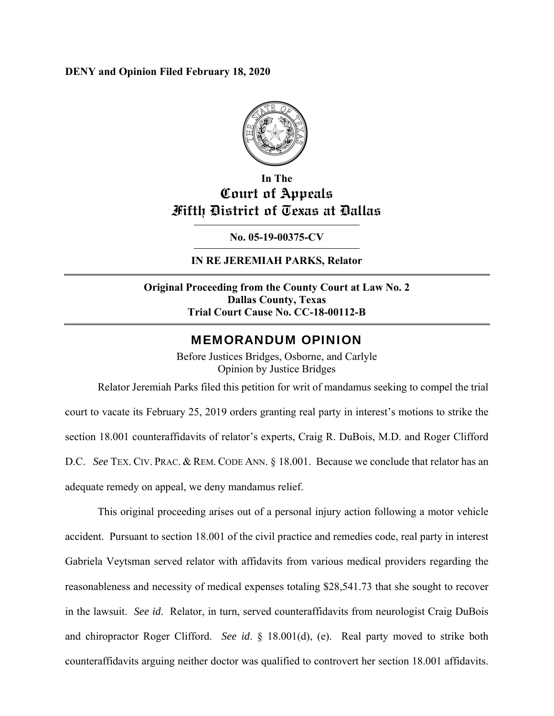**DENY and Opinion Filed February 18, 2020** 



# **In The Court of Appeals Fifth District of Texas at Dallas**

**No. 05-19-00375-CV** 

# **IN RE JEREMIAH PARKS, Relator**

# **Original Proceeding from the County Court at Law No. 2 Dallas County, Texas Trial Court Cause No. CC-18-00112-B**

# MEMORANDUM OPINION

Before Justices Bridges, Osborne, and Carlyle Opinion by Justice Bridges

Relator Jeremiah Parks filed this petition for writ of mandamus seeking to compel the trial court to vacate its February 25, 2019 orders granting real party in interest's motions to strike the section 18.001 counteraffidavits of relator's experts, Craig R. DuBois, M.D. and Roger Clifford D.C. *See* TEX. CIV. PRAC. & REM. CODE ANN. § 18.001. Because we conclude that relator has an adequate remedy on appeal, we deny mandamus relief.

This original proceeding arises out of a personal injury action following a motor vehicle accident. Pursuant to section 18.001 of the civil practice and remedies code, real party in interest Gabriela Veytsman served relator with affidavits from various medical providers regarding the reasonableness and necessity of medical expenses totaling \$28,541.73 that she sought to recover in the lawsuit. *See id*. Relator, in turn, served counteraffidavits from neurologist Craig DuBois and chiropractor Roger Clifford. *See id*. § 18.001(d), (e). Real party moved to strike both counteraffidavits arguing neither doctor was qualified to controvert her section 18.001 affidavits.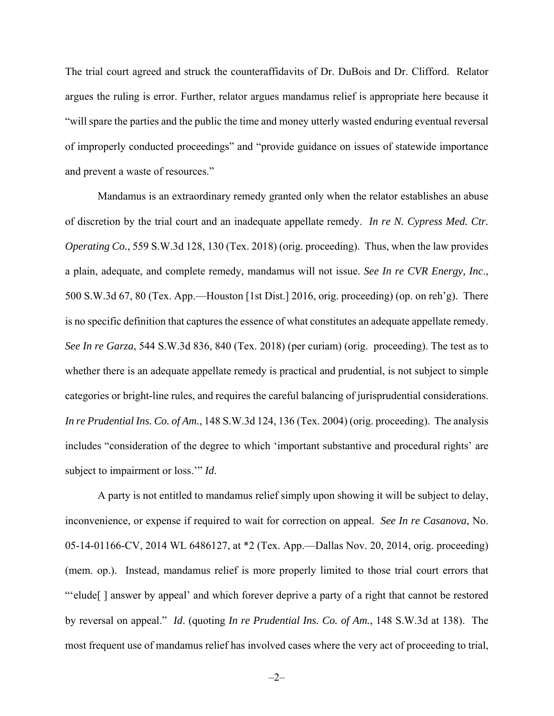The trial court agreed and struck the counteraffidavits of Dr. DuBois and Dr. Clifford. Relator argues the ruling is error. Further, relator argues mandamus relief is appropriate here because it "will spare the parties and the public the time and money utterly wasted enduring eventual reversal of improperly conducted proceedings" and "provide guidance on issues of statewide importance and prevent a waste of resources."

Mandamus is an extraordinary remedy granted only when the relator establishes an abuse of discretion by the trial court and an inadequate appellate remedy. *In re N. Cypress Med. Ctr. Operating Co.*, 559 S.W.3d 128, 130 (Tex. 2018) (orig. proceeding). Thus, when the law provides a plain, adequate, and complete remedy, mandamus will not issue. *See In re CVR Energy, Inc*., 500 S.W.3d 67, 80 (Tex. App.—Houston [1st Dist.] 2016, orig. proceeding) (op. on reh'g). There is no specific definition that captures the essence of what constitutes an adequate appellate remedy. *See In re Garza*, 544 S.W.3d 836, 840 (Tex. 2018) (per curiam) (orig. proceeding). The test as to whether there is an adequate appellate remedy is practical and prudential, is not subject to simple categories or bright-line rules, and requires the careful balancing of jurisprudential considerations. *In re Prudential Ins. Co. of Am.*, 148 S.W.3d 124, 136 (Tex. 2004) (orig. proceeding). The analysis includes "consideration of the degree to which 'important substantive and procedural rights' are subject to impairment or loss.'" *Id*.

A party is not entitled to mandamus relief simply upon showing it will be subject to delay, inconvenience, or expense if required to wait for correction on appeal. *See In re Casanova*, No. 05-14-01166-CV, 2014 WL 6486127, at \*2 (Tex. App.—Dallas Nov. 20, 2014, orig. proceeding) (mem. op.). Instead, mandamus relief is more properly limited to those trial court errors that "'elude[ ] answer by appeal' and which forever deprive a party of a right that cannot be restored by reversal on appeal." *Id*. (quoting *In re Prudential Ins. Co. of Am.*, 148 S.W.3d at 138). The most frequent use of mandamus relief has involved cases where the very act of proceeding to trial,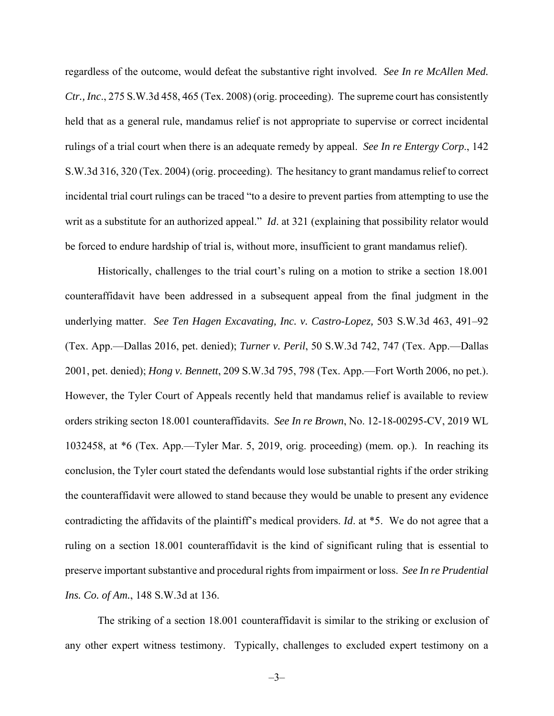regardless of the outcome, would defeat the substantive right involved. *See In re McAllen Med. Ctr., Inc*., 275 S.W.3d 458, 465 (Tex. 2008) (orig. proceeding). The supreme court has consistently held that as a general rule, mandamus relief is not appropriate to supervise or correct incidental rulings of a trial court when there is an adequate remedy by appeal. *See In re Entergy Corp*., 142 S.W.3d 316, 320 (Tex. 2004) (orig. proceeding). The hesitancy to grant mandamus relief to correct incidental trial court rulings can be traced "to a desire to prevent parties from attempting to use the writ as a substitute for an authorized appeal." *Id*. at 321 (explaining that possibility relator would be forced to endure hardship of trial is, without more, insufficient to grant mandamus relief).

Historically, challenges to the trial court's ruling on a motion to strike a section 18.001 counteraffidavit have been addressed in a subsequent appeal from the final judgment in the underlying matter. *See Ten Hagen Excavating, Inc. v. Castro-Lopez,* 503 S.W.3d 463, 491–92 (Tex. App.—Dallas 2016, pet. denied); *Turner v. Peril*, 50 S.W.3d 742, 747 (Tex. App.—Dallas 2001, pet. denied); *Hong v. Bennett*, 209 S.W.3d 795, 798 (Tex. App.—Fort Worth 2006, no pet.). However, the Tyler Court of Appeals recently held that mandamus relief is available to review orders striking secton 18.001 counteraffidavits. *See In re Brown*, No. 12-18-00295-CV, 2019 WL 1032458, at \*6 (Tex. App.—Tyler Mar. 5, 2019, orig. proceeding) (mem. op.). In reaching its conclusion, the Tyler court stated the defendants would lose substantial rights if the order striking the counteraffidavit were allowed to stand because they would be unable to present any evidence contradicting the affidavits of the plaintiff's medical providers. *Id*. at \*5. We do not agree that a ruling on a section 18.001 counteraffidavit is the kind of significant ruling that is essential to preserve important substantive and procedural rights from impairment or loss. *See In re Prudential Ins. Co. of Am.*, 148 S.W.3d at 136.

The striking of a section 18.001 counteraffidavit is similar to the striking or exclusion of any other expert witness testimony. Typically, challenges to excluded expert testimony on a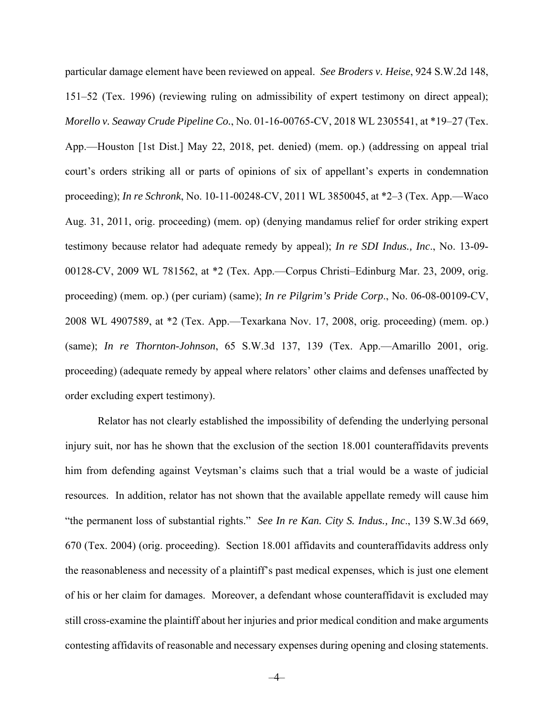particular damage element have been reviewed on appeal. *See Broders v. Heise*, 924 S.W.2d 148, 151–52 (Tex. 1996) (reviewing ruling on admissibility of expert testimony on direct appeal); *Morello v. Seaway Crude Pipeline Co.*, No. 01-16-00765-CV, 2018 WL 2305541, at \*19–27 (Tex. App.—Houston [1st Dist.] May 22, 2018, pet. denied) (mem. op.) (addressing on appeal trial court's orders striking all or parts of opinions of six of appellant's experts in condemnation proceeding); *In re Schronk*, No. 10-11-00248-CV, 2011 WL 3850045, at \*2–3 (Tex. App.—Waco Aug. 31, 2011, orig. proceeding) (mem. op) (denying mandamus relief for order striking expert testimony because relator had adequate remedy by appeal); *In re SDI Indus., Inc*., No. 13-09- 00128-CV, 2009 WL 781562, at \*2 (Tex. App.—Corpus Christi–Edinburg Mar. 23, 2009, orig. proceeding) (mem. op.) (per curiam) (same); *In re Pilgrim's Pride Corp*., No. 06-08-00109-CV, 2008 WL 4907589, at \*2 (Tex. App.—Texarkana Nov. 17, 2008, orig. proceeding) (mem. op.) (same); *In re Thornton-Johnson*, 65 S.W.3d 137, 139 (Tex. App.—Amarillo 2001, orig. proceeding) (adequate remedy by appeal where relators' other claims and defenses unaffected by order excluding expert testimony).

Relator has not clearly established the impossibility of defending the underlying personal injury suit, nor has he shown that the exclusion of the section 18.001 counteraffidavits prevents him from defending against Veytsman's claims such that a trial would be a waste of judicial resources. In addition, relator has not shown that the available appellate remedy will cause him "the permanent loss of substantial rights." *See In re Kan. City S. Indus., Inc*., 139 S.W.3d 669, 670 (Tex. 2004) (orig. proceeding). Section 18.001 affidavits and counteraffidavits address only the reasonableness and necessity of a plaintiff's past medical expenses, which is just one element of his or her claim for damages. Moreover, a defendant whose counteraffidavit is excluded may still cross-examine the plaintiff about her injuries and prior medical condition and make arguments contesting affidavits of reasonable and necessary expenses during opening and closing statements.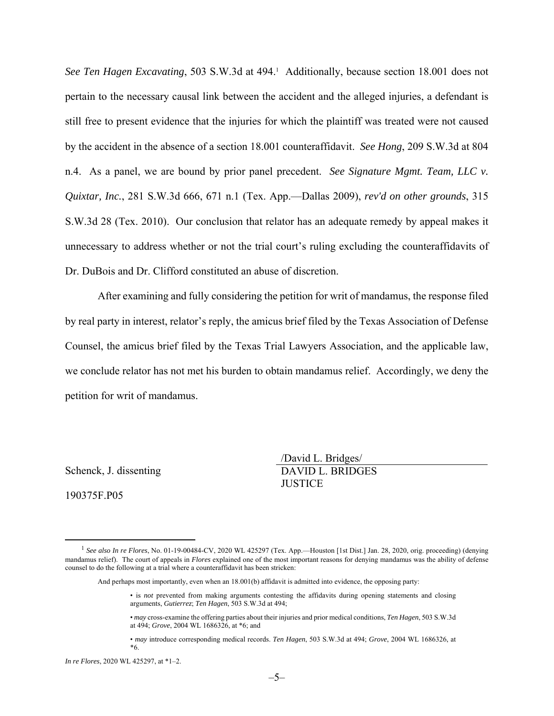See Ten Hagen Excavating, 503 S.W.3d at 494.<sup>1</sup> Additionally, because section 18.001 does not pertain to the necessary causal link between the accident and the alleged injuries, a defendant is still free to present evidence that the injuries for which the plaintiff was treated were not caused by the accident in the absence of a section 18.001 counteraffidavit. *See Hong*, 209 S.W.3d at 804 n.4. As a panel, we are bound by prior panel precedent. *See Signature Mgmt. Team, LLC v. Quixtar, Inc.*, 281 S.W.3d 666, 671 n.1 (Tex. App.—Dallas 2009), *rev'd on other grounds*, 315 S.W.3d 28 (Tex. 2010). Our conclusion that relator has an adequate remedy by appeal makes it unnecessary to address whether or not the trial court's ruling excluding the counteraffidavits of Dr. DuBois and Dr. Clifford constituted an abuse of discretion.

After examining and fully considering the petition for writ of mandamus, the response filed by real party in interest, relator's reply, the amicus brief filed by the Texas Association of Defense Counsel, the amicus brief filed by the Texas Trial Lawyers Association, and the applicable law, we conclude relator has not met his burden to obtain mandamus relief. Accordingly, we deny the petition for writ of mandamus.

Schenck, J. dissenting

190375F.P05

/David L. Bridges/ DAVID L. BRIDGES **JUSTICE** 

 <sup>1</sup> *See also In re Flores*, No. 01-19-00484-CV, 2020 WL 425297 (Tex. App.—Houston [1st Dist.] Jan. 28, 2020, orig. proceeding) (denying mandamus relief). The court of appeals in *Flores* explained one of the most important reasons for denying mandamus was the ability of defense counsel to do the following at a trial where a counteraffidavit has been stricken:

And perhaps most importantly, even when an 18.001(b) affidavit is admitted into evidence, the opposing party:

<sup>•</sup> is *not* prevented from making arguments contesting the affidavits during opening statements and closing arguments, *Gutierrez*; *Ten Hagen*, 503 S.W.3d at 494;

<sup>•</sup> *may* cross-examine the offering parties about their injuries and prior medical conditions, *Ten Hagen*, 503 S.W.3d at 494; *Grove*, 2004 WL 1686326, at \*6; and

<sup>•</sup> *may* introduce corresponding medical records. *Ten Hagen*, 503 S.W.3d at 494; *Grove*, 2004 WL 1686326, at \*6.

*In re Flores*, 2020 WL 425297, at \*1–2.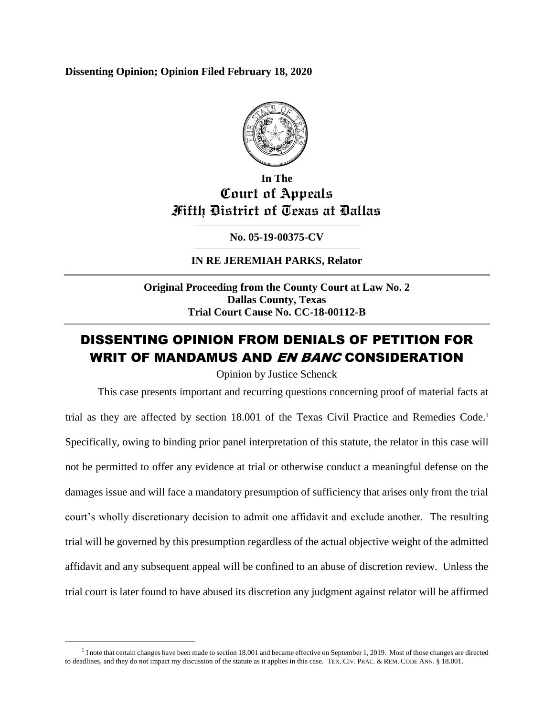**Dissenting Opinion; Opinion Filed February 18, 2020**



# **In The Court of Appeals Fifth District of Texas at Dallas**

**No. 05-19-00375-CV**

**IN RE JEREMIAH PARKS, Relator**

**Original Proceeding from the County Court at Law No. 2 Dallas County, Texas Trial Court Cause No. CC-18-00112-B**

# DISSENTING OPINION FROM DENIALS OF PETITION FOR WRIT OF MANDAMUS AND *EN BANC* CONSIDERATION

Opinion by Justice Schenck

This case presents important and recurring questions concerning proof of material facts at trial as they are affected by section 18.001 of the Texas Civil Practice and Remedies Code.<sup>1</sup> Specifically, owing to binding prior panel interpretation of this statute, the relator in this case will not be permitted to offer any evidence at trial or otherwise conduct a meaningful defense on the damages issue and will face a mandatory presumption of sufficiency that arises only from the trial court's wholly discretionary decision to admit one affidavit and exclude another. The resulting trial will be governed by this presumption regardless of the actual objective weight of the admitted affidavit and any subsequent appeal will be confined to an abuse of discretion review. Unless the trial court is later found to have abused its discretion any judgment against relator will be affirmed

 $<sup>1</sup>$  I note that certain changes have been made to section 18.001 and became effective on September 1, 2019. Most of those changes are directed</sup> to deadlines, and they do not impact my discussion of the statute as it applies in this case. TEX. CIV. PRAC. & REM. CODE ANN. § 18.001.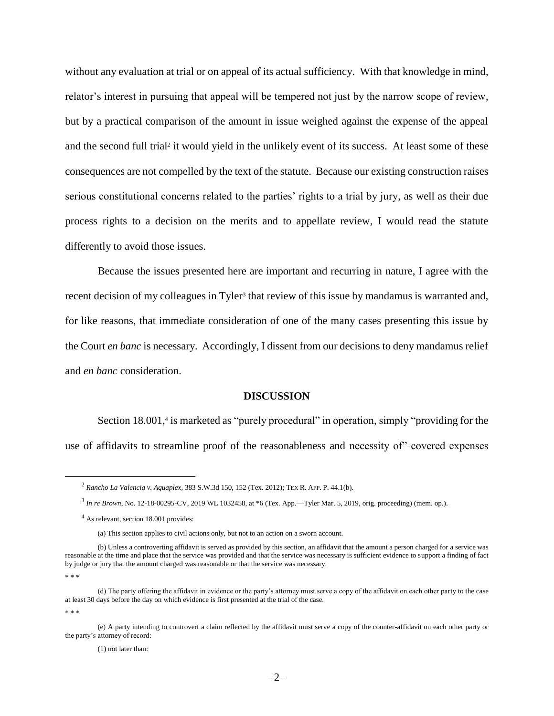without any evaluation at trial or on appeal of its actual sufficiency. With that knowledge in mind, relator's interest in pursuing that appeal will be tempered not just by the narrow scope of review, but by a practical comparison of the amount in issue weighed against the expense of the appeal and the second full trial<sup>2</sup> it would yield in the unlikely event of its success. At least some of these consequences are not compelled by the text of the statute. Because our existing construction raises serious constitutional concerns related to the parties' rights to a trial by jury, as well as their due process rights to a decision on the merits and to appellate review, I would read the statute differently to avoid those issues.

Because the issues presented here are important and recurring in nature, I agree with the recent decision of my colleagues in Tyler<sup>3</sup> that review of this issue by mandamus is warranted and, for like reasons, that immediate consideration of one of the many cases presenting this issue by the Court *en banc* is necessary. Accordingly, I dissent from our decisions to deny mandamus relief and *en banc* consideration.

#### **DISCUSSION**

Section 18.001,<sup>4</sup> is marketed as "purely procedural" in operation, simply "providing for the use of affidavits to streamline proof of the reasonableness and necessity of" covered expenses

\* \* \*

 $\overline{a}$ 

\* \* \*

(e) A party intending to controvert a claim reflected by the affidavit must serve a copy of the counter-affidavit on each other party or the party's attorney of record:

(1) not later than:

<sup>2</sup> *Rancho La Valencia v. Aquaplex*, 383 S.W.3d 150, 152 (Tex. 2012); TEX R. APP. P. 44.1(b).

<sup>3</sup> *In re Brown*, No. 12-18-00295-CV, 2019 WL 1032458, at \*6 (Tex. App.—Tyler Mar. 5, 2019, orig. proceeding) (mem. op.).

<sup>&</sup>lt;sup>4</sup> As relevant, section 18.001 provides:

<sup>(</sup>a) This section applies to civil actions only, but not to an action on a sworn account.

<sup>(</sup>b) Unless a controverting affidavit is served as provided by this section, an affidavit that the amount a person charged for a service was reasonable at the time and place that the service was provided and that the service was necessary is sufficient evidence to support a finding of fact by judge or jury that the amount charged was reasonable or that the service was necessary.

<sup>(</sup>d) The party offering the affidavit in evidence or the party's attorney must serve a copy of the affidavit on each other party to the case at least 30 days before the day on which evidence is first presented at the trial of the case.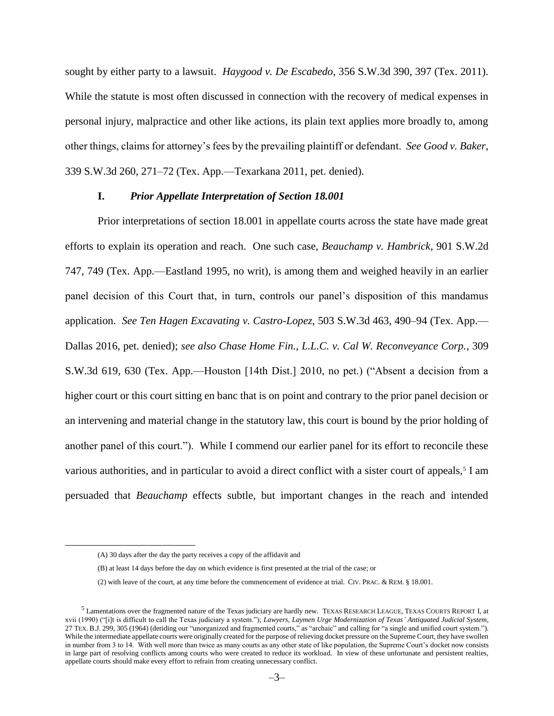sought by either party to a lawsuit. *Haygood v. De Escabedo*, 356 S.W.3d 390, 397 (Tex. 2011). While the statute is most often discussed in connection with the recovery of medical expenses in personal injury, malpractice and other like actions, its plain text applies more broadly to, among other things, claims for attorney's fees by the prevailing plaintiff or defendant. *See Good v. Baker*, 339 S.W.3d 260, 271–72 (Tex. App.—Texarkana 2011, pet. denied).

#### **I.** *Prior Appellate Interpretation of Section 18.001*

Prior interpretations of section 18.001 in appellate courts across the state have made great efforts to explain its operation and reach. One such case, *Beauchamp v. Hambrick*, 901 S.W.2d 747, 749 (Tex. App.—Eastland 1995, no writ), is among them and weighed heavily in an earlier panel decision of this Court that, in turn, controls our panel's disposition of this mandamus application. *See Ten Hagen Excavating v. Castro-Lopez*, 503 S.W.3d 463, 490–94 (Tex. App.— Dallas 2016, pet. denied); *see also Chase Home Fin., L.L.C. v. Cal W. Reconveyance Corp.*, 309 S.W.3d 619, 630 (Tex. App.—Houston [14th Dist.] 2010, no pet.) ("Absent a decision from a higher court or this court sitting en banc that is on point and contrary to the prior panel decision or an intervening and material change in the statutory law, this court is bound by the prior holding of another panel of this court."). While I commend our earlier panel for its effort to reconcile these various authorities, and in particular to avoid a direct conflict with a sister court of appeals,<sup>5</sup> I am persuaded that *Beauchamp* effects subtle, but important changes in the reach and intended

<sup>(</sup>A) 30 days after the day the party receives a copy of the affidavit and

<sup>(</sup>B) at least 14 days before the day on which evidence is first presented at the trial of the case; or

<sup>(2)</sup> with leave of the court, at any time before the commencement of evidence at trial. CIV. PRAC. & REM. § 18.001.

<sup>5</sup> Lamentations over the fragmented nature of the Texas judiciary are hardly new. TEXAS RESEARCH LEAGUE, TEXAS COURTS REPORT I, at xvii (1990) ("[i]t is difficult to call the Texas judiciary a system."); *Lawyers, Laymen Urge Modernization of Texas' Antiquated Judicial System*, 27 TEX. B.J. 299, 305 (1964) (deriding our "unorganized and fragmented courts," as "archaic" and calling for "a single and unified court system."). While the intermediate appellate courts were originally created for the purpose of relieving docket pressure on the Supreme Court, they have swollen in number from 3 to 14. With well more than twice as many courts as any other state of like population, the Supreme Court's docket now consists in large part of resolving conflicts among courts who were created to reduce its workload. In view of these unfortunate and persistent realties, appellate courts should make every effort to refrain from creating unnecessary conflict.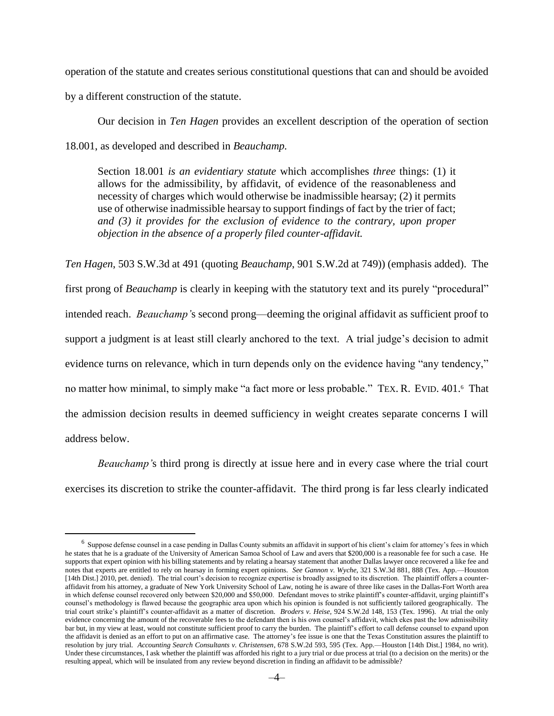operation of the statute and creates serious constitutional questions that can and should be avoided

by a different construction of the statute.

 $\overline{a}$ 

Our decision in *Ten Hagen* provides an excellent description of the operation of section 18.001, as developed and described in *Beauchamp.* 

Section 18.001 *is an evidentiary statute* which accomplishes *three* things: (1) it allows for the admissibility, by affidavit, of evidence of the reasonableness and necessity of charges which would otherwise be inadmissible hearsay; (2) it permits use of otherwise inadmissible hearsay to support findings of fact by the trier of fact; *and (3) it provides for the exclusion of evidence to the contrary, upon proper objection in the absence of a properly filed counter-affidavit.* 

*Ten Hagen*, 503 S.W.3d at 491 (quoting *Beauchamp*, 901 S.W.2d at 749)) (emphasis added). The first prong of *Beauchamp* is clearly in keeping with the statutory text and its purely "procedural" intended reach. *Beauchamp'*s second prong—deeming the original affidavit as sufficient proof to support a judgment is at least still clearly anchored to the text. A trial judge's decision to admit evidence turns on relevance, which in turn depends only on the evidence having "any tendency," no matter how minimal, to simply make "a fact more or less probable." TEX. R. EVID. 401.<sup>6</sup> That the admission decision results in deemed sufficiency in weight creates separate concerns I will address below.

*Beauchamp'*s third prong is directly at issue here and in every case where the trial court exercises its discretion to strike the counter-affidavit. The third prong is far less clearly indicated

 $^6$  Suppose defense counsel in a case pending in Dallas County submits an affidavit in support of his client's claim for attorney's fees in which he states that he is a graduate of the University of American Samoa School of Law and avers that \$200,000 is a reasonable fee for such a case. He supports that expert opinion with his billing statements and by relating a hearsay statement that another Dallas lawyer once recovered a like fee and notes that experts are entitled to rely on hearsay in forming expert opinions. *See Gannon v. Wyche*, 321 S.W.3d 881, 888 (Tex. App.—Houston [14th Dist.] 2010, pet. denied). The trial court's decision to recognize expertise is broadly assigned to its discretion. The plaintiff offers a counteraffidavit from his attorney, a graduate of New York University School of Law, noting he is aware of three like cases in the Dallas-Fort Worth area in which defense counsel recovered only between \$20,000 and \$50,000. Defendant moves to strike plaintiff's counter-affidavit, urging plaintiff's counsel's methodology is flawed because the geographic area upon which his opinion is founded is not sufficiently tailored geographically. The trial court strike's plaintiff's counter-affidavit as a matter of discretion. *Broders v. Heise*, 924 S.W.2d 148, 153 (Tex. 1996). At trial the only evidence concerning the amount of the recoverable fees to the defendant then is his own counsel's affidavit, which ekes past the low admissibility bar but, in my view at least, would not constitute sufficient proof to carry the burden. The plaintiff's effort to call defense counsel to expand upon the affidavit is denied as an effort to put on an affirmative case. The attorney's fee issue is one that the Texas Constitution assures the plaintiff to resolution by jury trial. *Accounting Search Consultants v. Christensen*, 678 S.W.2d 593, 595 (Tex. App.—Houston [14th Dist.] 1984, no writ). Under these circumstances, I ask whether the plaintiff was afforded his right to a jury trial or due process at trial (to a decision on the merits) or the resulting appeal, which will be insulated from any review beyond discretion in finding an affidavit to be admissible?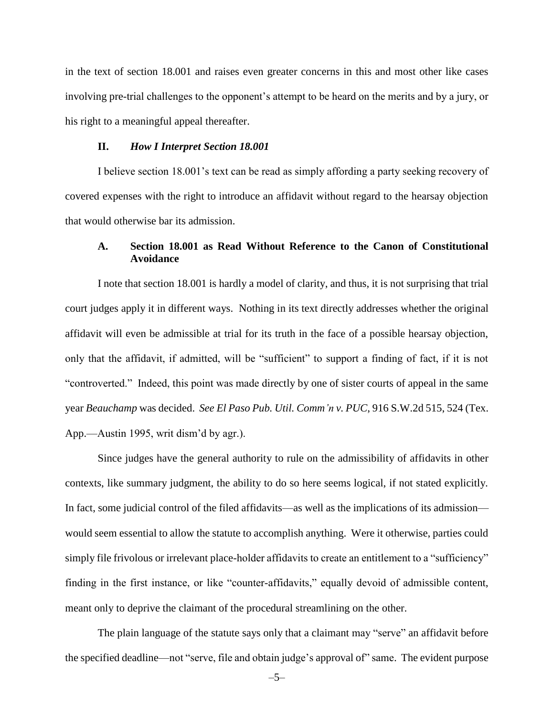in the text of section 18.001 and raises even greater concerns in this and most other like cases involving pre-trial challenges to the opponent's attempt to be heard on the merits and by a jury, or his right to a meaningful appeal thereafter.

#### **II.** *How I Interpret Section 18.001*

I believe section 18.001's text can be read as simply affording a party seeking recovery of covered expenses with the right to introduce an affidavit without regard to the hearsay objection that would otherwise bar its admission.

### **A. Section 18.001 as Read Without Reference to the Canon of Constitutional Avoidance**

I note that section 18.001 is hardly a model of clarity, and thus, it is not surprising that trial court judges apply it in different ways. Nothing in its text directly addresses whether the original affidavit will even be admissible at trial for its truth in the face of a possible hearsay objection, only that the affidavit, if admitted, will be "sufficient" to support a finding of fact, if it is not "controverted." Indeed, this point was made directly by one of sister courts of appeal in the same year *Beauchamp* was decided. *See El Paso Pub. Util. Comm'n v. PUC*, 916 S.W.2d 515, 524 (Tex. App.—Austin 1995, writ dism'd by agr.).

Since judges have the general authority to rule on the admissibility of affidavits in other contexts, like summary judgment, the ability to do so here seems logical, if not stated explicitly. In fact, some judicial control of the filed affidavits—as well as the implications of its admission would seem essential to allow the statute to accomplish anything. Were it otherwise, parties could simply file frivolous or irrelevant place-holder affidavits to create an entitlement to a "sufficiency" finding in the first instance, or like "counter-affidavits," equally devoid of admissible content, meant only to deprive the claimant of the procedural streamlining on the other.

The plain language of the statute says only that a claimant may "serve" an affidavit before the specified deadline—not "serve, file and obtain judge's approval of" same. The evident purpose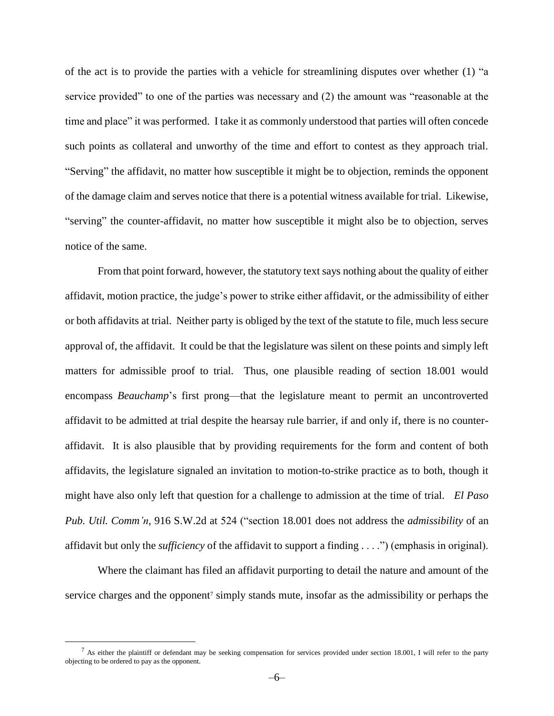of the act is to provide the parties with a vehicle for streamlining disputes over whether (1) "a service provided" to one of the parties was necessary and (2) the amount was "reasonable at the time and place" it was performed. I take it as commonly understood that parties will often concede such points as collateral and unworthy of the time and effort to contest as they approach trial. "Serving" the affidavit, no matter how susceptible it might be to objection, reminds the opponent of the damage claim and serves notice that there is a potential witness available for trial. Likewise, "serving" the counter-affidavit, no matter how susceptible it might also be to objection, serves notice of the same.

From that point forward, however, the statutory text says nothing about the quality of either affidavit, motion practice, the judge's power to strike either affidavit, or the admissibility of either or both affidavits at trial. Neither party is obliged by the text of the statute to file, much less secure approval of, the affidavit. It could be that the legislature was silent on these points and simply left matters for admissible proof to trial. Thus, one plausible reading of section 18.001 would encompass *Beauchamp*'s first prong—that the legislature meant to permit an uncontroverted affidavit to be admitted at trial despite the hearsay rule barrier, if and only if, there is no counteraffidavit. It is also plausible that by providing requirements for the form and content of both affidavits, the legislature signaled an invitation to motion-to-strike practice as to both, though it might have also only left that question for a challenge to admission at the time of trial. *El Paso Pub. Util. Comm'n*, 916 S.W.2d at 524 ("section 18.001 does not address the *admissibility* of an affidavit but only the *sufficiency* of the affidavit to support a finding . . . .") (emphasis in original).

Where the claimant has filed an affidavit purporting to detail the nature and amount of the service charges and the opponent<sup>7</sup> simply stands mute, insofar as the admissibility or perhaps the

 $<sup>7</sup>$  As either the plaintiff or defendant may be seeking compensation for services provided under section 18.001, I will refer to the party</sup> objecting to be ordered to pay as the opponent.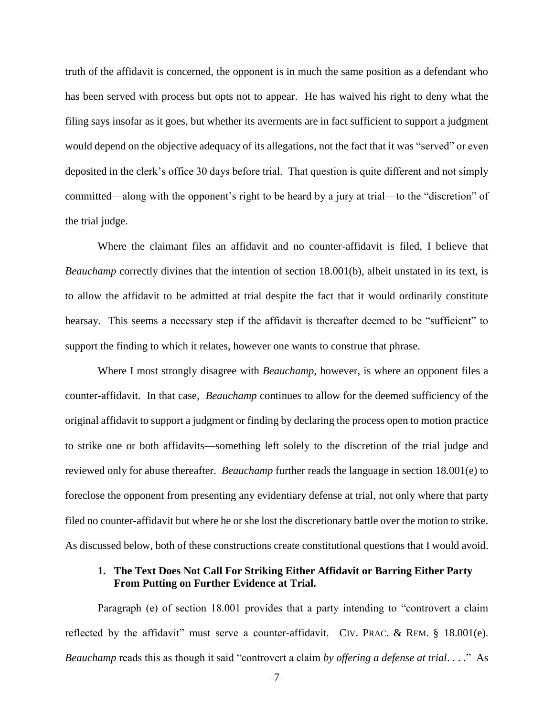truth of the affidavit is concerned, the opponent is in much the same position as a defendant who has been served with process but opts not to appear. He has waived his right to deny what the filing says insofar as it goes, but whether its averments are in fact sufficient to support a judgment would depend on the objective adequacy of its allegations, not the fact that it was "served" or even deposited in the clerk's office 30 days before trial. That question is quite different and not simply committed—along with the opponent's right to be heard by a jury at trial—to the "discretion" of the trial judge.

Where the claimant files an affidavit and no counter-affidavit is filed, I believe that *Beauchamp* correctly divines that the intention of section 18.001(b), albeit unstated in its text, is to allow the affidavit to be admitted at trial despite the fact that it would ordinarily constitute hearsay. This seems a necessary step if the affidavit is thereafter deemed to be "sufficient" to support the finding to which it relates, however one wants to construe that phrase.

Where I most strongly disagree with *Beauchamp*, however, is where an opponent files a counter-affidavit. In that case, *Beauchamp* continues to allow for the deemed sufficiency of the original affidavit to support a judgment or finding by declaring the process open to motion practice to strike one or both affidavits—something left solely to the discretion of the trial judge and reviewed only for abuse thereafter. *Beauchamp* further reads the language in section 18.001(e) to foreclose the opponent from presenting any evidentiary defense at trial, not only where that party filed no counter-affidavit but where he or she lost the discretionary battle over the motion to strike. As discussed below, both of these constructions create constitutional questions that I would avoid.

### **1. The Text Does Not Call For Striking Either Affidavit or Barring Either Party From Putting on Further Evidence at Trial.**

Paragraph (e) of section 18.001 provides that a party intending to "controvert a claim reflected by the affidavit" must serve a counter-affidavit. CIV. PRAC. & REM. § 18.001(e). *Beauchamp* reads this as though it said "controvert a claim *by offering a defense at trial*. . . ."As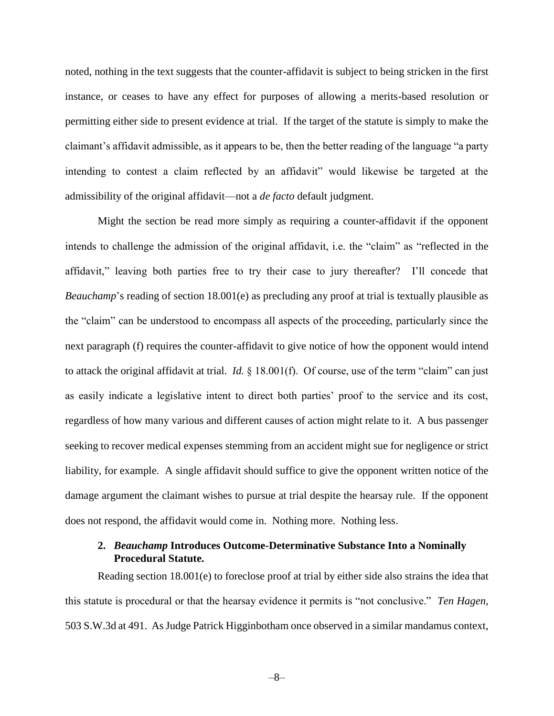noted, nothing in the text suggests that the counter-affidavit is subject to being stricken in the first instance, or ceases to have any effect for purposes of allowing a merits-based resolution or permitting either side to present evidence at trial. If the target of the statute is simply to make the claimant's affidavit admissible, as it appears to be, then the better reading of the language "a party intending to contest a claim reflected by an affidavit" would likewise be targeted at the admissibility of the original affidavit—not a *de facto* default judgment.

Might the section be read more simply as requiring a counter-affidavit if the opponent intends to challenge the admission of the original affidavit, i.e. the "claim" as "reflected in the affidavit," leaving both parties free to try their case to jury thereafter? I'll concede that *Beauchamp*'s reading of section 18.001(e) as precluding any proof at trial is textually plausible as the "claim" can be understood to encompass all aspects of the proceeding, particularly since the next paragraph (f) requires the counter-affidavit to give notice of how the opponent would intend to attack the original affidavit at trial. *Id.* § 18.001(f). Of course, use of the term "claim" can just as easily indicate a legislative intent to direct both parties' proof to the service and its cost, regardless of how many various and different causes of action might relate to it. A bus passenger seeking to recover medical expenses stemming from an accident might sue for negligence or strict liability, for example. A single affidavit should suffice to give the opponent written notice of the damage argument the claimant wishes to pursue at trial despite the hearsay rule. If the opponent does not respond, the affidavit would come in. Nothing more. Nothing less.

## **2.** *Beauchamp* **Introduces Outcome-Determinative Substance Into a Nominally Procedural Statute.**

Reading section 18.001(e) to foreclose proof at trial by either side also strains the idea that this statute is procedural or that the hearsay evidence it permits is "not conclusive." *Ten Hagen,*  503 S.W.3d at 491. As Judge Patrick Higginbotham once observed in a similar mandamus context,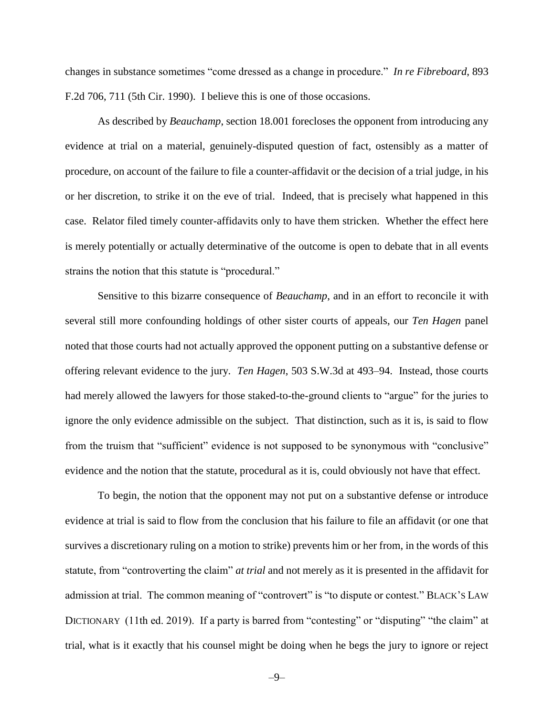changes in substance sometimes "come dressed as a change in procedure." *In re Fibreboard*, 893 F.2d 706, 711 (5th Cir. 1990). I believe this is one of those occasions.

As described by *Beauchamp*, section 18.001 forecloses the opponent from introducing any evidence at trial on a material, genuinely-disputed question of fact, ostensibly as a matter of procedure, on account of the failure to file a counter-affidavit or the decision of a trial judge, in his or her discretion, to strike it on the eve of trial. Indeed, that is precisely what happened in this case. Relator filed timely counter-affidavits only to have them stricken. Whether the effect here is merely potentially or actually determinative of the outcome is open to debate that in all events strains the notion that this statute is "procedural."

Sensitive to this bizarre consequence of *Beauchamp*, and in an effort to reconcile it with several still more confounding holdings of other sister courts of appeals, our *Ten Hagen* panel noted that those courts had not actually approved the opponent putting on a substantive defense or offering relevant evidence to the jury. *Ten Hagen*, 503 S.W.3d at 493–94. Instead, those courts had merely allowed the lawyers for those staked-to-the-ground clients to "argue" for the juries to ignore the only evidence admissible on the subject. That distinction, such as it is, is said to flow from the truism that "sufficient" evidence is not supposed to be synonymous with "conclusive" evidence and the notion that the statute, procedural as it is, could obviously not have that effect.

To begin, the notion that the opponent may not put on a substantive defense or introduce evidence at trial is said to flow from the conclusion that his failure to file an affidavit (or one that survives a discretionary ruling on a motion to strike) prevents him or her from, in the words of this statute, from "controverting the claim" *at trial* and not merely as it is presented in the affidavit for admission at trial. The common meaning of "controvert" is "to dispute or contest." BLACK's LAW DICTIONARY (11th ed. 2019). If a party is barred from "contesting" or "disputing" "the claim" at trial, what is it exactly that his counsel might be doing when he begs the jury to ignore or reject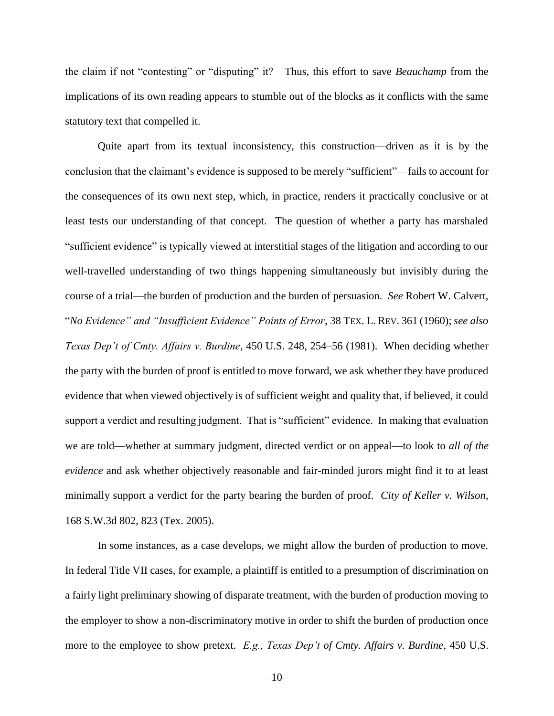the claim if not "contesting" or "disputing" it? Thus, this effort to save *Beauchamp* from the implications of its own reading appears to stumble out of the blocks as it conflicts with the same statutory text that compelled it.

Quite apart from its textual inconsistency, this construction—driven as it is by the conclusion that the claimant's evidence is supposed to be merely "sufficient"—fails to account for the consequences of its own next step, which, in practice, renders it practically conclusive or at least tests our understanding of that concept. The question of whether a party has marshaled "sufficient evidence" is typically viewed at interstitial stages of the litigation and according to our well-travelled understanding of two things happening simultaneously but invisibly during the course of a trial—the burden of production and the burden of persuasion. *See* Robert W. Calvert, "*No Evidence" and "Insufficient Evidence" Points of Error*, 38 TEX. L. REV. 361 (1960);*see also Texas Dep't of Cmty. Affairs v. Burdine*, 450 U.S. 248, 254–56 (1981).When deciding whether the party with the burden of proof is entitled to move forward, we ask whether they have produced evidence that when viewed objectively is of sufficient weight and quality that, if believed, it could support a verdict and resulting judgment. That is "sufficient" evidence. In making that evaluation we are told—whether at summary judgment, directed verdict or on appeal—to look to *all of the evidence* and ask whether objectively reasonable and fair-minded jurors might find it to at least minimally support a verdict for the party bearing the burden of proof. *City of Keller v. Wilson*, 168 S.W.3d 802, 823 (Tex. 2005).

In some instances, as a case develops, we might allow the burden of production to move. In federal Title VII cases, for example, a plaintiff is entitled to a presumption of discrimination on a fairly light preliminary showing of disparate treatment, with the burden of production moving to the employer to show a non-discriminatory motive in order to shift the burden of production once more to the employee to show pretext. *E.g., Texas Dep't of Cmty. Affairs v. Burdine*, 450 U.S.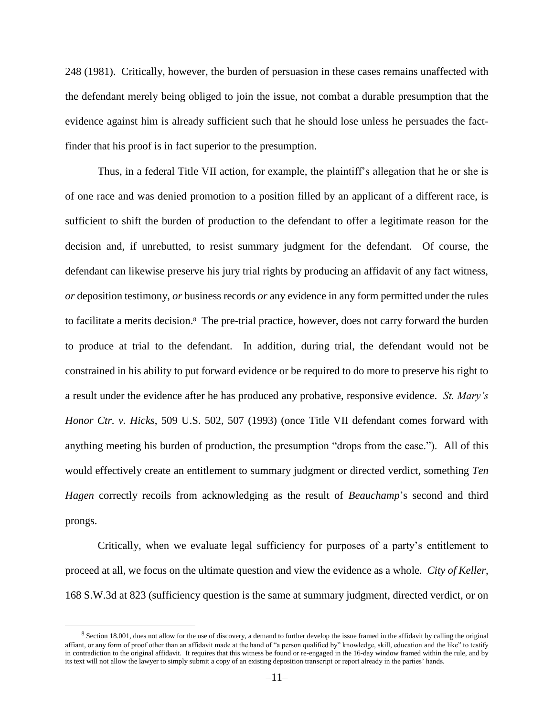248 (1981). Critically, however, the burden of persuasion in these cases remains unaffected with the defendant merely being obliged to join the issue, not combat a durable presumption that the evidence against him is already sufficient such that he should lose unless he persuades the factfinder that his proof is in fact superior to the presumption.

Thus, in a federal Title VII action, for example, the plaintiff's allegation that he or she is of one race and was denied promotion to a position filled by an applicant of a different race, is sufficient to shift the burden of production to the defendant to offer a legitimate reason for the decision and, if unrebutted, to resist summary judgment for the defendant. Of course, the defendant can likewise preserve his jury trial rights by producing an affidavit of any fact witness, *or* deposition testimony, *or* business records *or* any evidence in any form permitted under the rules to facilitate a merits decision.<sup>8</sup> The pre-trial practice, however, does not carry forward the burden to produce at trial to the defendant. In addition, during trial, the defendant would not be constrained in his ability to put forward evidence or be required to do more to preserve his right to a result under the evidence after he has produced any probative, responsive evidence. *St. Mary's Honor Ctr. v. Hicks*, 509 U.S. 502, 507 (1993) (once Title VII defendant comes forward with anything meeting his burden of production, the presumption "drops from the case."). All of this would effectively create an entitlement to summary judgment or directed verdict, something *Ten Hagen* correctly recoils from acknowledging as the result of *Beauchamp*'s second and third prongs.

Critically, when we evaluate legal sufficiency for purposes of a party's entitlement to proceed at all, we focus on the ultimate question and view the evidence as a whole. *City of Keller*, 168 S.W.3d at 823 (sufficiency question is the same at summary judgment, directed verdict, or on

<sup>&</sup>lt;sup>8</sup> Section 18.001, does not allow for the use of discovery, a demand to further develop the issue framed in the affidavit by calling the original affiant, or any form of proof other than an affidavit made at the hand of "a person qualified by" knowledge, skill, education and the like" to testify in contradiction to the original affidavit. It requires that this witness be found or re-engaged in the 16-day window framed within the rule, and by its text will not allow the lawyer to simply submit a copy of an existing deposition transcript or report already in the parties' hands.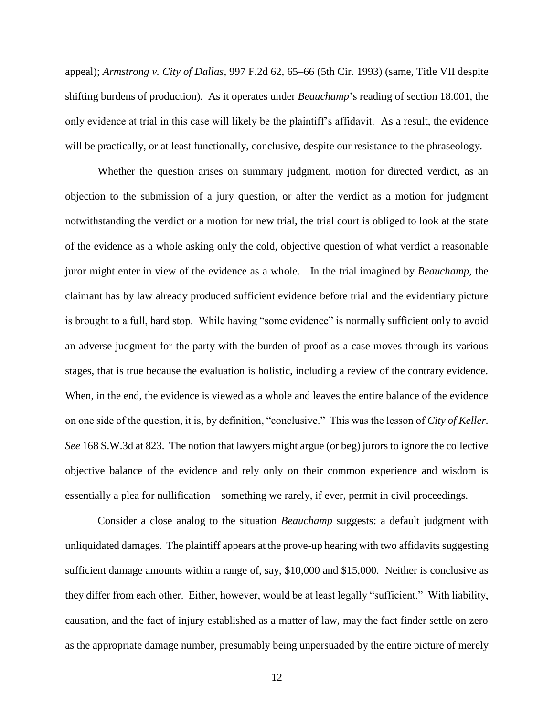appeal); *Armstrong v. City of Dallas*, 997 F.2d 62, 65–66 (5th Cir. 1993) (same, Title VII despite shifting burdens of production). As it operates under *Beauchamp*'s reading of section 18.001, the only evidence at trial in this case will likely be the plaintiff's affidavit. As a result, the evidence will be practically, or at least functionally, conclusive, despite our resistance to the phraseology.

Whether the question arises on summary judgment, motion for directed verdict, as an objection to the submission of a jury question, or after the verdict as a motion for judgment notwithstanding the verdict or a motion for new trial, the trial court is obliged to look at the state of the evidence as a whole asking only the cold, objective question of what verdict a reasonable juror might enter in view of the evidence as a whole. In the trial imagined by *Beauchamp*, the claimant has by law already produced sufficient evidence before trial and the evidentiary picture is brought to a full, hard stop. While having "some evidence" is normally sufficient only to avoid an adverse judgment for the party with the burden of proof as a case moves through its various stages, that is true because the evaluation is holistic, including a review of the contrary evidence. When, in the end, the evidence is viewed as a whole and leaves the entire balance of the evidence on one side of the question, it is, by definition, "conclusive." This was the lesson of *City of Keller. See* 168 S.W.3d at 823. The notion that lawyers might argue (or beg) jurors to ignore the collective objective balance of the evidence and rely only on their common experience and wisdom is essentially a plea for nullification—something we rarely, if ever, permit in civil proceedings.

Consider a close analog to the situation *Beauchamp* suggests: a default judgment with unliquidated damages. The plaintiff appears at the prove-up hearing with two affidavits suggesting sufficient damage amounts within a range of, say, \$10,000 and \$15,000. Neither is conclusive as they differ from each other. Either, however, would be at least legally "sufficient." With liability, causation, and the fact of injury established as a matter of law, may the fact finder settle on zero as the appropriate damage number, presumably being unpersuaded by the entire picture of merely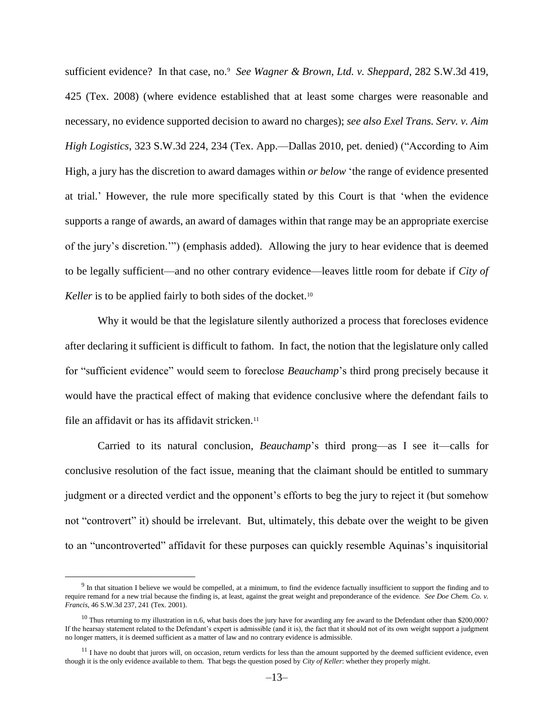sufficient evidence? In that case, no.<sup>9</sup> See Wagner & Brown, Ltd. v. Sheppard, 282 S.W.3d 419, 425 (Tex. 2008) (where evidence established that at least some charges were reasonable and necessary, no evidence supported decision to award no charges); *see also Exel Trans. Serv. v. Aim High Logistics*, 323 S.W.3d 224, 234 (Tex. App.—Dallas 2010, pet. denied) ("According to Aim High, a jury has the discretion to award damages within *or below* 'the range of evidence presented at trial.' However, the rule more specifically stated by this Court is that 'when the evidence supports a range of awards, an award of damages within that range may be an appropriate exercise of the jury's discretion.'") (emphasis added). Allowing the jury to hear evidence that is deemed to be legally sufficient—and no other contrary evidence—leaves little room for debate if *City of Keller* is to be applied fairly to both sides of the docket.<sup>10</sup>

Why it would be that the legislature silently authorized a process that forecloses evidence after declaring it sufficient is difficult to fathom. In fact, the notion that the legislature only called for "sufficient evidence" would seem to foreclose *Beauchamp*'s third prong precisely because it would have the practical effect of making that evidence conclusive where the defendant fails to file an affidavit or has its affidavit stricken.<sup>11</sup>

Carried to its natural conclusion, *Beauchamp*'s third prong—as I see it—calls for conclusive resolution of the fact issue, meaning that the claimant should be entitled to summary judgment or a directed verdict and the opponent's efforts to beg the jury to reject it (but somehow not "controvert" it) should be irrelevant. But, ultimately, this debate over the weight to be given to an "uncontroverted" affidavit for these purposes can quickly resemble Aquinas's inquisitorial

 $9$  In that situation I believe we would be compelled, at a minimum, to find the evidence factually insufficient to support the finding and to require remand for a new trial because the finding is, at least, against the great weight and preponderance of the evidence. *See Doe Chem. Co. v. Francis*, 46 S.W.3d 237, 241 (Tex. 2001).

 $10$  Thus returning to my illustration in n.6, what basis does the jury have for awarding any fee award to the Defendant other than \$200,000? If the hearsay statement related to the Defendant's expert is admissible (and it is), the fact that it should not of its own weight support a judgment no longer matters, it is deemed sufficient as a matter of law and no contrary evidence is admissible.

<sup>&</sup>lt;sup>11</sup> I have no doubt that jurors will, on occasion, return verdicts for less than the amount supported by the deemed sufficient evidence, even though it is the only evidence available to them. That begs the question posed by *City of Keller*: whether they properly might.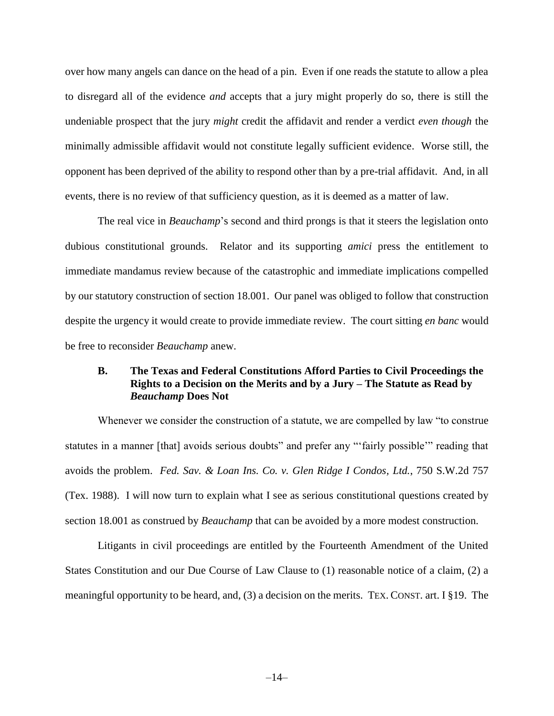over how many angels can dance on the head of a pin. Even if one reads the statute to allow a plea to disregard all of the evidence *and* accepts that a jury might properly do so, there is still the undeniable prospect that the jury *might* credit the affidavit and render a verdict *even though* the minimally admissible affidavit would not constitute legally sufficient evidence. Worse still, the opponent has been deprived of the ability to respond other than by a pre-trial affidavit. And, in all events, there is no review of that sufficiency question, as it is deemed as a matter of law.

The real vice in *Beauchamp*'s second and third prongs is that it steers the legislation onto dubious constitutional grounds. Relator and its supporting *amici* press the entitlement to immediate mandamus review because of the catastrophic and immediate implications compelled by our statutory construction of section 18.001. Our panel was obliged to follow that construction despite the urgency it would create to provide immediate review. The court sitting *en banc* would be free to reconsider *Beauchamp* anew.

### **B. The Texas and Federal Constitutions Afford Parties to Civil Proceedings the Rights to a Decision on the Merits and by a Jury – The Statute as Read by**  *Beauchamp* **Does Not**

Whenever we consider the construction of a statute, we are compelled by law "to construe statutes in a manner [that] avoids serious doubts" and prefer any "'fairly possible'" reading that avoids the problem. *Fed. Sav. & Loan Ins. Co. v. Glen Ridge I Condos, Ltd.*, 750 S.W.2d 757 (Tex. 1988). I will now turn to explain what I see as serious constitutional questions created by section 18.001 as construed by *Beauchamp* that can be avoided by a more modest construction*.* 

Litigants in civil proceedings are entitled by the Fourteenth Amendment of the United States Constitution and our Due Course of Law Clause to (1) reasonable notice of a claim, (2) a meaningful opportunity to be heard, and, (3) a decision on the merits. TEX. CONST. art. I §19. The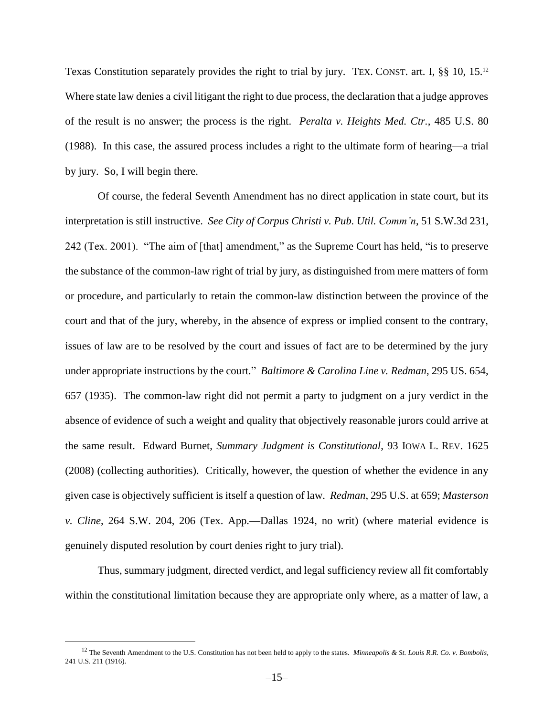Texas Constitution separately provides the right to trial by jury. TEX. CONST. art. I, §§ 10, 15.<sup>12</sup> Where state law denies a civil litigant the right to due process, the declaration that a judge approves of the result is no answer; the process is the right. *Peralta v. Heights Med. Ctr.*, 485 U.S. 80 (1988). In this case, the assured process includes a right to the ultimate form of hearing—a trial by jury. So, I will begin there.

Of course, the federal Seventh Amendment has no direct application in state court, but its interpretation is still instructive. *See City of Corpus Christi v. Pub. Util. Comm'n*, 51 S.W.3d 231, 242 (Tex. 2001). "The aim of [that] amendment," as the Supreme Court has held, "is to preserve the substance of the common-law right of trial by jury, as distinguished from mere matters of form or procedure, and particularly to retain the common-law distinction between the province of the court and that of the jury, whereby, in the absence of express or implied consent to the contrary, issues of law are to be resolved by the court and issues of fact are to be determined by the jury under appropriate instructions by the court." *Baltimore & Carolina Line v. Redman*, 295 US. 654, 657 (1935). The common-law right did not permit a party to judgment on a jury verdict in the absence of evidence of such a weight and quality that objectively reasonable jurors could arrive at the same result. Edward Burnet, *Summary Judgment is Constitutional*, 93 IOWA L. REV. 1625 (2008) (collecting authorities). Critically, however, the question of whether the evidence in any given case is objectively sufficient is itself a question of law. *Redman*, 295 U.S. at 659; *Masterson v. Cline*, 264 S.W. 204, 206 (Tex. App.—Dallas 1924, no writ) (where material evidence is genuinely disputed resolution by court denies right to jury trial).

Thus, summary judgment, directed verdict, and legal sufficiency review all fit comfortably within the constitutional limitation because they are appropriate only where, as a matter of law, a

<sup>&</sup>lt;sup>12</sup> The Seventh Amendment to the U.S. Constitution has not been held to apply to the states. *Minneapolis & St. Louis R.R. Co. v. Bombolis*, 241 U.S. 211 (1916).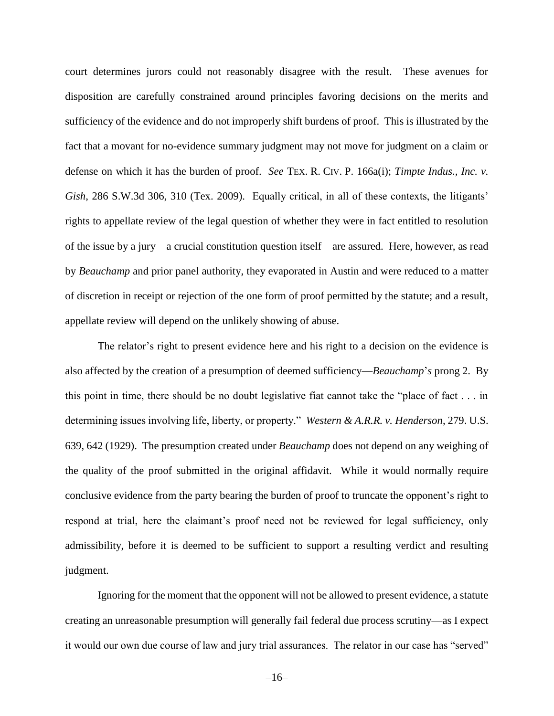court determines jurors could not reasonably disagree with the result. These avenues for disposition are carefully constrained around principles favoring decisions on the merits and sufficiency of the evidence and do not improperly shift burdens of proof. This is illustrated by the fact that a movant for no-evidence summary judgment may not move for judgment on a claim or defense on which it has the burden of proof. *See* TEX. R. CIV. P. 166a(i); *Timpte Indus., Inc. v. Gish*, 286 S.W.3d 306, 310 (Tex. 2009).Equally critical, in all of these contexts, the litigants' rights to appellate review of the legal question of whether they were in fact entitled to resolution of the issue by a jury—a crucial constitution question itself—are assured. Here, however, as read by *Beauchamp* and prior panel authority, they evaporated in Austin and were reduced to a matter of discretion in receipt or rejection of the one form of proof permitted by the statute; and a result, appellate review will depend on the unlikely showing of abuse.

The relator's right to present evidence here and his right to a decision on the evidence is also affected by the creation of a presumption of deemed sufficiency—*Beauchamp*'*s* prong 2. By this point in time, there should be no doubt legislative fiat cannot take the "place of fact . . . in determining issues involving life, liberty, or property." *Western & A.R.R. v. Henderson*, 279. U.S. 639, 642 (1929). The presumption created under *Beauchamp* does not depend on any weighing of the quality of the proof submitted in the original affidavit. While it would normally require conclusive evidence from the party bearing the burden of proof to truncate the opponent's right to respond at trial, here the claimant's proof need not be reviewed for legal sufficiency, only admissibility, before it is deemed to be sufficient to support a resulting verdict and resulting judgment.

Ignoring for the moment that the opponent will not be allowed to present evidence, a statute creating an unreasonable presumption will generally fail federal due process scrutiny—as I expect it would our own due course of law and jury trial assurances. The relator in our case has "served"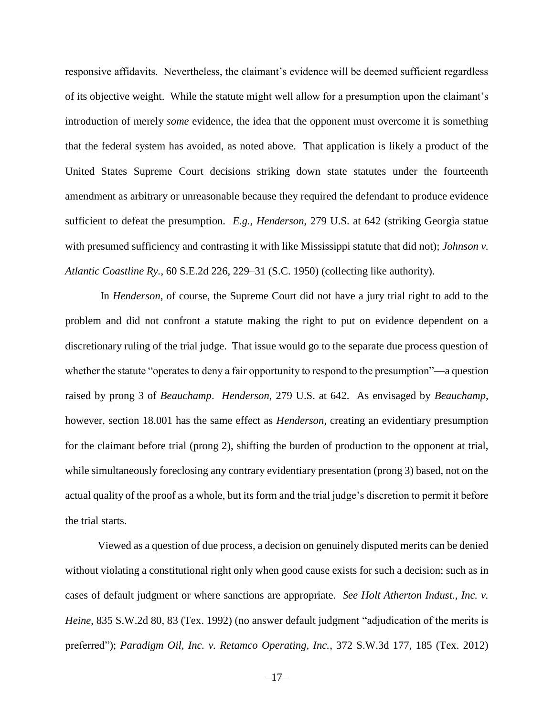responsive affidavits. Nevertheless, the claimant's evidence will be deemed sufficient regardless of its objective weight. While the statute might well allow for a presumption upon the claimant's introduction of merely *some* evidence, the idea that the opponent must overcome it is something that the federal system has avoided, as noted above. That application is likely a product of the United States Supreme Court decisions striking down state statutes under the fourteenth amendment as arbitrary or unreasonable because they required the defendant to produce evidence sufficient to defeat the presumption. *E.g.*, *Henderson*, 279 U.S. at 642 (striking Georgia statue with presumed sufficiency and contrasting it with like Mississippi statute that did not); *Johnson v. Atlantic Coastline Ry.*, 60 S.E.2d 226, 229–31 (S.C. 1950) (collecting like authority).

In *Henderson*, of course, the Supreme Court did not have a jury trial right to add to the problem and did not confront a statute making the right to put on evidence dependent on a discretionary ruling of the trial judge. That issue would go to the separate due process question of whether the statute "operates to deny a fair opportunity to respond to the presumption"—a question raised by prong 3 of *Beauchamp*. *Henderson*, 279 U.S. at 642. As envisaged by *Beauchamp*, however, section 18.001 has the same effect as *Henderson*, creating an evidentiary presumption for the claimant before trial (prong 2), shifting the burden of production to the opponent at trial, while simultaneously foreclosing any contrary evidentiary presentation (prong 3) based, not on the actual quality of the proof as a whole, but its form and the trial judge's discretion to permit it before the trial starts.

Viewed as a question of due process, a decision on genuinely disputed merits can be denied without violating a constitutional right only when good cause exists for such a decision; such as in cases of default judgment or where sanctions are appropriate. *See Holt Atherton Indust., Inc. v. Heine*, 835 S.W.2d 80, 83 (Tex. 1992) (no answer default judgment "adjudication of the merits is preferred"); *Paradigm Oil, Inc. v. Retamco Operating, Inc.*, 372 S.W.3d 177, 185 (Tex. 2012)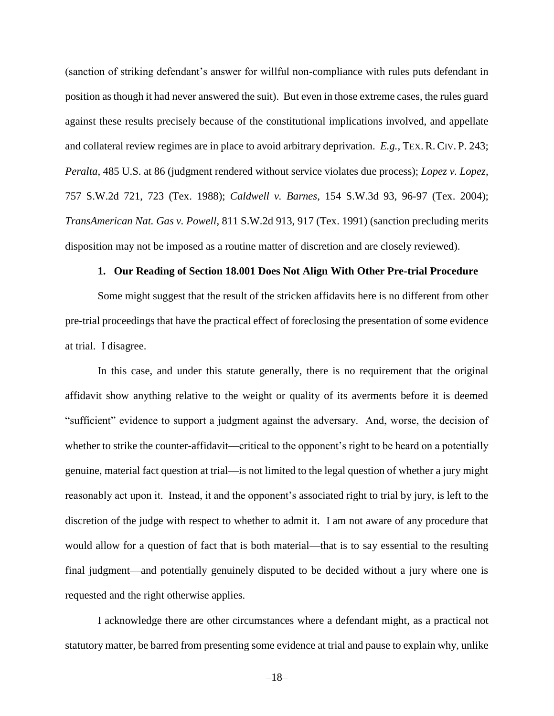(sanction of striking defendant's answer for willful non-compliance with rules puts defendant in position as though it had never answered the suit). But even in those extreme cases, the rules guard against these results precisely because of the constitutional implications involved, and appellate and collateral review regimes are in place to avoid arbitrary deprivation. *E.g.,* TEX. R. CIV. P. 243; *Peralta*, 485 U.S. at 86 (judgment rendered without service violates due process); *Lopez v. Lopez*, 757 S.W.2d 721, 723 (Tex. 1988); *Caldwell v. Barnes,* 154 S.W.3d 93, 96-97 (Tex. 2004); *TransAmerican Nat. Gas v. Powell*, 811 S.W.2d 913, 917 (Tex. 1991) (sanction precluding merits disposition may not be imposed as a routine matter of discretion and are closely reviewed).

#### **1. Our Reading of Section 18.001 Does Not Align With Other Pre-trial Procedure**

Some might suggest that the result of the stricken affidavits here is no different from other pre-trial proceedings that have the practical effect of foreclosing the presentation of some evidence at trial. I disagree.

In this case, and under this statute generally, there is no requirement that the original affidavit show anything relative to the weight or quality of its averments before it is deemed "sufficient" evidence to support a judgment against the adversary. And, worse, the decision of whether to strike the counter-affidavit—critical to the opponent's right to be heard on a potentially genuine, material fact question at trial—is not limited to the legal question of whether a jury might reasonably act upon it. Instead, it and the opponent's associated right to trial by jury, is left to the discretion of the judge with respect to whether to admit it. I am not aware of any procedure that would allow for a question of fact that is both material—that is to say essential to the resulting final judgment—and potentially genuinely disputed to be decided without a jury where one is requested and the right otherwise applies.

I acknowledge there are other circumstances where a defendant might, as a practical not statutory matter, be barred from presenting some evidence at trial and pause to explain why, unlike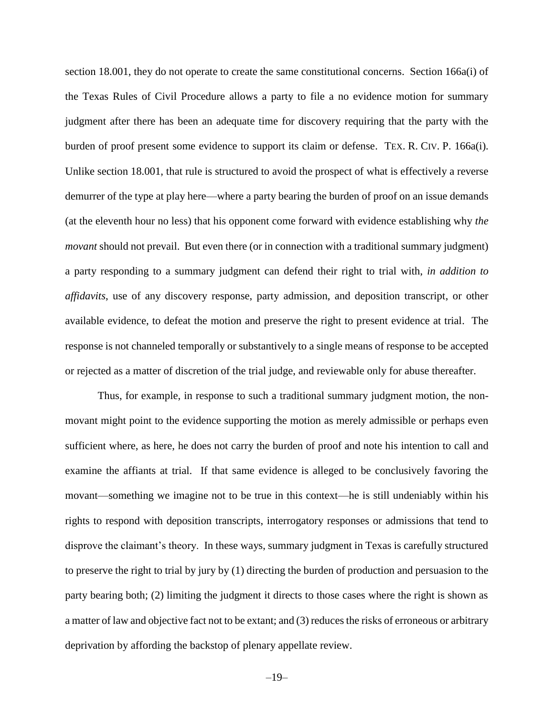section 18.001, they do not operate to create the same constitutional concerns. Section 166a(i) of the Texas Rules of Civil Procedure allows a party to file a no evidence motion for summary judgment after there has been an adequate time for discovery requiring that the party with the burden of proof present some evidence to support its claim or defense. TEX. R. CIV. P. 166a(i). Unlike section 18.001, that rule is structured to avoid the prospect of what is effectively a reverse demurrer of the type at play here—where a party bearing the burden of proof on an issue demands (at the eleventh hour no less) that his opponent come forward with evidence establishing why *the movant* should not prevail. But even there (or in connection with a traditional summary judgment) a party responding to a summary judgment can defend their right to trial with, *in addition to affidavits*, use of any discovery response, party admission, and deposition transcript, or other available evidence, to defeat the motion and preserve the right to present evidence at trial. The response is not channeled temporally or substantively to a single means of response to be accepted or rejected as a matter of discretion of the trial judge, and reviewable only for abuse thereafter.

Thus, for example, in response to such a traditional summary judgment motion, the nonmovant might point to the evidence supporting the motion as merely admissible or perhaps even sufficient where, as here, he does not carry the burden of proof and note his intention to call and examine the affiants at trial. If that same evidence is alleged to be conclusively favoring the movant—something we imagine not to be true in this context—he is still undeniably within his rights to respond with deposition transcripts, interrogatory responses or admissions that tend to disprove the claimant's theory. In these ways, summary judgment in Texas is carefully structured to preserve the right to trial by jury by (1) directing the burden of production and persuasion to the party bearing both; (2) limiting the judgment it directs to those cases where the right is shown as a matter of law and objective fact not to be extant; and (3) reduces the risks of erroneous or arbitrary deprivation by affording the backstop of plenary appellate review.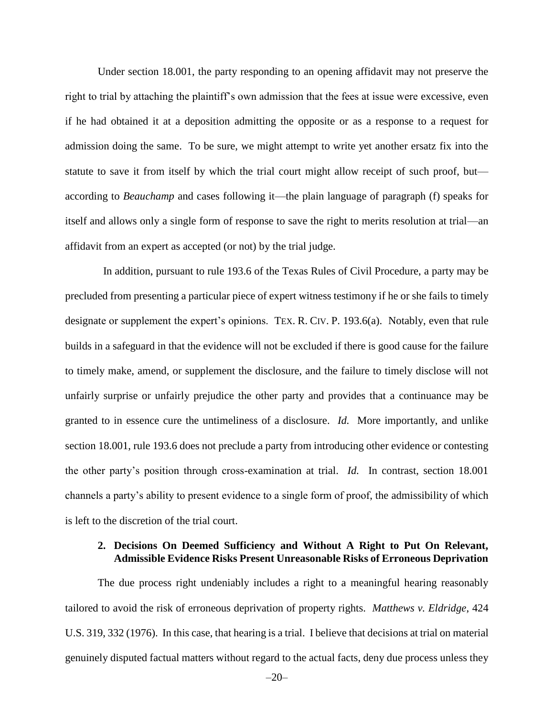Under section 18.001, the party responding to an opening affidavit may not preserve the right to trial by attaching the plaintiff's own admission that the fees at issue were excessive, even if he had obtained it at a deposition admitting the opposite or as a response to a request for admission doing the same. To be sure, we might attempt to write yet another ersatz fix into the statute to save it from itself by which the trial court might allow receipt of such proof, but according to *Beauchamp* and cases following it—the plain language of paragraph (f) speaks for itself and allows only a single form of response to save the right to merits resolution at trial—an affidavit from an expert as accepted (or not) by the trial judge.

 In addition, pursuant to rule 193.6 of the Texas Rules of Civil Procedure, a party may be precluded from presenting a particular piece of expert witness testimony if he or she fails to timely designate or supplement the expert's opinions. TEX. R. CIV. P. 193.6(a). Notably, even that rule builds in a safeguard in that the evidence will not be excluded if there is good cause for the failure to timely make, amend, or supplement the disclosure, and the failure to timely disclose will not unfairly surprise or unfairly prejudice the other party and provides that a continuance may be granted to in essence cure the untimeliness of a disclosure. *Id.* More importantly, and unlike section 18.001, rule 193.6 does not preclude a party from introducing other evidence or contesting the other party's position through cross-examination at trial. *Id.* In contrast, section 18.001 channels a party's ability to present evidence to a single form of proof, the admissibility of which is left to the discretion of the trial court.

## **2. Decisions On Deemed Sufficiency and Without A Right to Put On Relevant, Admissible Evidence Risks Present Unreasonable Risks of Erroneous Deprivation**

The due process right undeniably includes a right to a meaningful hearing reasonably tailored to avoid the risk of erroneous deprivation of property rights. *Matthews v. Eldridge*, 424 U.S. 319, 332 (1976). In this case, that hearing is a trial. I believe that decisions at trial on material genuinely disputed factual matters without regard to the actual facts, deny due process unless they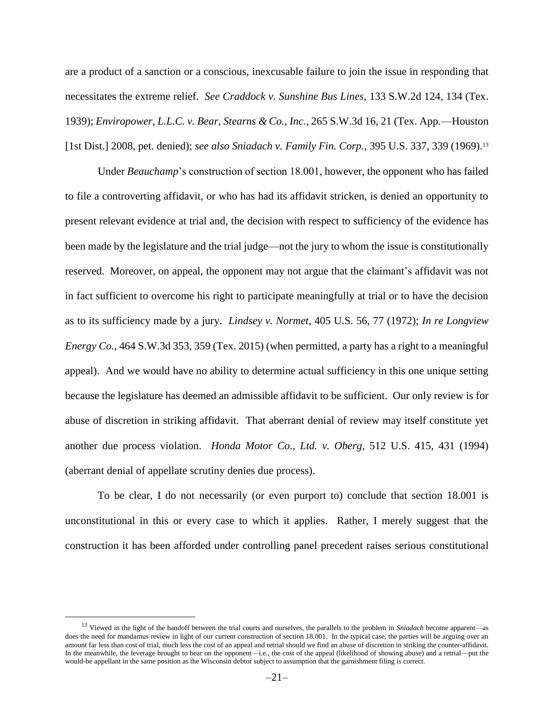are a product of a sanction or a conscious, inexcusable failure to join the issue in responding that necessitates the extreme relief. *See Craddock v. Sunshine Bus Lines*, 133 S.W.2d 124, 134 (Tex. 1939); *Enviropower, L.L.C. v. Bear, Stearns & Co., Inc.*, 265 S.W.3d 16, 21 (Tex. App.—Houston [1st Dist.] 2008, pet. denied); *see also Sniadach v. Family Fin. Corp.*, 395 U.S. 337, 339 (1969). 13

Under *Beauchamp*'s construction of section 18.001, however, the opponent who has failed to file a controverting affidavit, or who has had its affidavit stricken, is denied an opportunity to present relevant evidence at trial and, the decision with respect to sufficiency of the evidence has been made by the legislature and the trial judge—not the jury to whom the issue is constitutionally reserved. Moreover, on appeal, the opponent may not argue that the claimant's affidavit was not in fact sufficient to overcome his right to participate meaningfully at trial or to have the decision as to its sufficiency made by a jury. *Lindsey v. Normet*, 405 U.S. 56, 77 (1972); *In re Longview Energy Co.*, 464 S.W.3d 353, 359 (Tex. 2015) (when permitted, a party has a right to a meaningful appeal). And we would have no ability to determine actual sufficiency in this one unique setting because the legislature has deemed an admissible affidavit to be sufficient. Our only review is for abuse of discretion in striking affidavit. That aberrant denial of review may itself constitute yet another due process violation. *Honda Motor Co., Ltd. v. Oberg*, 512 U.S. 415, 431 (1994) (aberrant denial of appellate scrutiny denies due process).

To be clear, I do not necessarily (or even purport to) conclude that section 18.001 is unconstitutional in this or every case to which it applies. Rather, I merely suggest that the construction it has been afforded under controlling panel precedent raises serious constitutional

<sup>13</sup> Viewed in the light of the handoff between the trial courts and ourselves, the parallels to the problem in *Sniadach* become apparent—as does the need for mandamus review in light of our current construction of section 18.001. In the typical case, the parties will be arguing over an amount far less than cost of trial, much less the cost of an appeal and retrial should we find an abuse of discretion in striking the counter-affidavit. In the meanwhile, the leverage brought to bear on the opponent—i.e., the cost of the appeal (likelihood of showing abuse) and a retrial—put the would-be appellant in the same position as the Wisconsin debtor subject to assumption that the garnishment filing is correct.